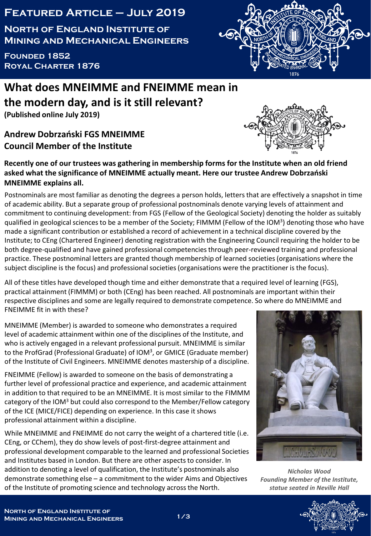## **Featured Article – July 2019**

**North of England Institute of Mining and Mechanical Engineers**

**Founded 1852 Royal Charter 1876**

## **What does MNEIMME and FNEIMME mean in the modern day, and is it still relevant?**

**(Published online July 2019)**

## **Andrew Dobrzański FGS MNEIMME Council Member of the Institute**

## **Recently one of our trustees was gathering in membership forms for the Institute when an old friend asked what the significance of MNEIMME actually meant. Here our trustee Andrew Dobrzański MNEIMME explains all.**

Postnominals are most familiar as denoting the degrees a person holds, letters that are effectively a snapshot in time of academic ability. But a separate group of professional postnominals denote varying levels of attainment and commitment to continuing development: from FGS (Fellow of the Geological Society) denoting the holder as suitably qualified in geological sciences to be a member of the Society; FIMMM (Fellow of the IOM<sup>3</sup>) denoting those who have made a significant contribution or established a record of achievement in a technical discipline covered by the Institute; to CEng (Chartered Engineer) denoting registration with the Engineering Council requiring the holder to be both degree-qualified and have gained professional competencies through peer-reviewed training and professional practice. These postnominal letters are granted though membership of learned societies (organisations where the subject discipline is the focus) and professional societies (organisations were the practitioner is the focus).

All of these titles have developed though time and either demonstrate that a required level of learning (FGS), practical attainment (FIMMM) or both (CEng) has been reached. All postnominals are important within their respective disciplines and some are legally required to demonstrate competence. So where do MNEIMME and FNEIMME fit in with these?

MNEIMME (Member) is awarded to someone who demonstrates a required level of academic attainment within one of the disciplines of the Institute, and who is actively engaged in a relevant professional pursuit. MNEIMME is similar to the ProfGrad (Professional Graduate) of IOM<sup>3</sup>, or GMICE (Graduate member) of the Institute of Civil Engineers. MNEIMME denotes mastership of a discipline.

FNEIMME (Fellow) is awarded to someone on the basis of demonstrating a further level of professional practice and experience, and academic attainment in addition to that required to be an MNEIMME. It is most similar to the FIMMM category of the IOM<sup>3</sup> but could also correspond to the Member/Fellow category of the ICE (MICE/FICE) depending on experience. In this case it shows professional attainment within a discipline.

While MNEIMME and FNEIMME do not carry the weight of a chartered title (i.e. CEng, or CChem), they do show levels of post-first-degree attainment and professional development comparable to the learned and professional Societies and Institutes based in London. But there are other aspects to consider. In addition to denoting a level of qualification, the Institute's postnominals also demonstrate something else – a commitment to the wider Aims and Objectives of the Institute of promoting science and technology across the North.







*Nicholas Wood Founding Member of the Institute, statue seated in Neville Hall*

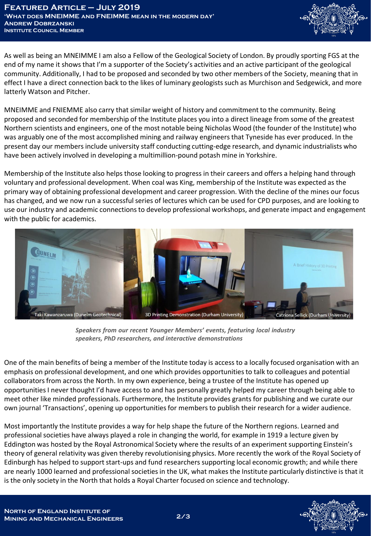

As well as being an MNEIMME I am also a Fellow of the Geological Society of London. By proudly sporting FGS at the end of my name it shows that I'm a supporter of the Society's activities and an active participant of the geological community. Additionally, I had to be proposed and seconded by two other members of the Society, meaning that in effect I have a direct connection back to the likes of luminary geologists such as Murchison and Sedgewick, and more latterly Watson and Pitcher.

MNEIMME and FNIEMME also carry that similar weight of history and commitment to the community. Being proposed and seconded for membership of the Institute places you into a direct lineage from some of the greatest Northern scientists and engineers, one of the most notable being Nicholas Wood (the founder of the Institute) who was arguably one of the most accomplished mining and railway engineers that Tyneside has ever produced. In the present day our members include university staff conducting cutting-edge research, and dynamic industrialists who have been actively involved in developing a multimillion-pound potash mine in Yorkshire.

Membership of the Institute also helps those looking to progress in their careers and offers a helping hand through voluntary and professional development. When coal was King, membership of the Institute was expected as the primary way of obtaining professional development and career progression. With the decline of the mines our focus has changed, and we now run a successful series of lectures which can be used for CPD purposes, and are looking to use our industry and academic connections to develop professional workshops, and generate impact and engagement with the public for academics.



*Speakers from our recent Younger Members' events, featuring local industry speakers, PhD researchers, and interactive demonstrations*

One of the main benefits of being a member of the Institute today is access to a locally focused organisation with an emphasis on professional development, and one which provides opportunities to talk to colleagues and potential collaborators from across the North. In my own experience, being a trustee of the Institute has opened up opportunities I never thought I'd have access to and has personally greatly helped my career through being able to meet other like minded professionals. Furthermore, the Institute provides grants for publishing and we curate our own journal 'Transactions', opening up opportunities for members to publish their research for a wider audience.

Most importantly the Institute provides a way for help shape the future of the Northern regions. Learned and professional societies have always played a role in changing the world, for example in 1919 a lecture given by Eddington was hosted by the Royal Astronomical Society where the results of an experiment supporting Einstein's theory of general relativity was given thereby revolutionising physics. More recently the work of the Royal Society of Edinburgh has helped to support start-ups and fund researchers supporting local economic growth; and while there are nearly 1000 learned and professional societies in the UK, what makes the Institute particularly distinctive is that it is the only society in the North that holds a Royal Charter focused on science and technology.